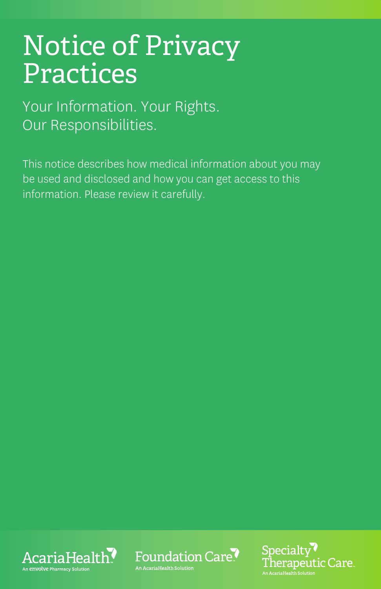# Notice of Privacy Practices

Your Information. Your Rights. Our Responsibilities.

This notice describes how medical information about you may be used and disclosed and how you can get access to this information. Please review it carefully.





Specialty<sup>7</sup> Therapeutic Care. An AcariaHealth Solution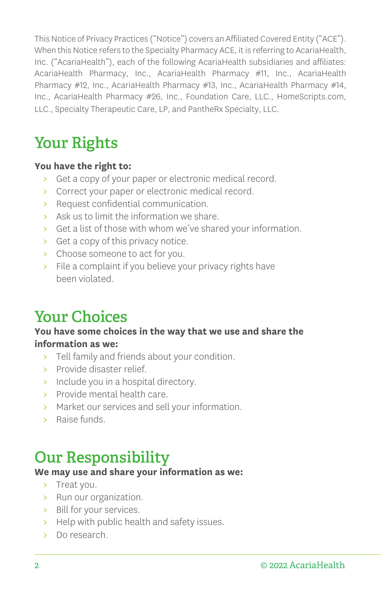This Notice of Privacy Practices ("Notice") covers an Affiliated Covered Entity ("ACE"). When this Notice refers to the Specialty Pharmacy ACE, it is referring to AcariaHealth, Inc. ("AcariaHealth"), each of the following AcariaHealth subsidiaries and affiliates: AcariaHealth Pharmacy, Inc., AcariaHealth Pharmacy #11, Inc., AcariaHealth Pharmacy #12, Inc., AcariaHealth Pharmacy #13, Inc., AcariaHealth Pharmacy #14, Inc., AcariaHealth Pharmacy #26, Inc., Foundation Care, LLC., [HomeScripts.com,](https://HomeScripts.com) LLC., Specialty Therapeutic Care, LP, and PantheRx Specialty, LLC.

### Your Rights

#### **You have the right to:**

- > Get a copy of your paper or electronic medical record.
- > Correct your paper or electronic medical record.
- > Request confidential communication.
- > Ask us to limit the information we share.
- > Get a list of those with whom we've shared your information.
- > Get a copy of this privacy notice.
- > Choose someone to act for you.
- > File a complaint if you believe your privacy rights have been violated.

### Your Choices

#### **You have some choices in the way that we use and share the information as we:**

- > Tell family and friends about your condition.
- > Provide disaster relief.
- > Include you in a hospital directory.
- > Provide mental health care.
- > Market our services and sell your information.
- > Raise funds.

### Our Responsibility

#### **We may use and share your information as we:**

- > Treat you.
- > Run our organization.
- > Bill for your services.
- > Help with public health and safety issues.
- > Do research.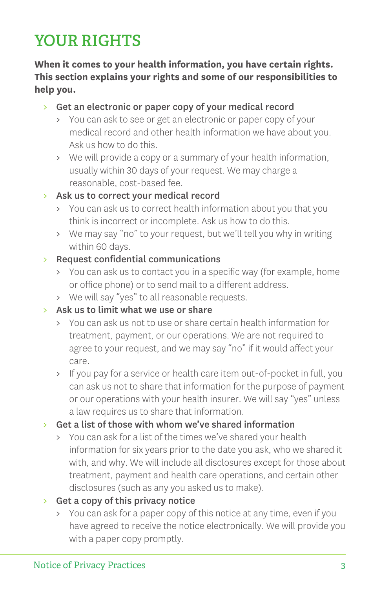# YOUR RIGHTS

**When it comes to your health information, you have certain rights. This section explains your rights and some of our responsibilities to help you.** 

- $>$  Get an electronic or paper copy of your medical record
	- > You can ask to see or get an electronic or paper copy of your medical record and other health information we have about you. Ask us how to do this.
	- > We will provide a copy or a summary of your health information, usually within 30 days of your request. We may charge a reasonable, cost-based fee.
- > Ask us to correct your medical record
	- > You can ask us to correct health information about you that you think is incorrect or incomplete. Ask us how to do this.
	- > We may say "no" to your request, but we'll tell you why in writing within 60 days.

#### > Request confidential communications

- > You can ask us to contact you in a specific way (for example, home or office phone) or to send mail to a different address.
- > We will say "yes" to all reasonable requests.

#### $>$  Ask us to limit what we use or share

- > You can ask us not to use or share certain health information for treatment, payment, or our operations. We are not required to agree to your request, and we may say "no" if it would affect your care.
- > If you pay for a service or health care item out-of-pocket in full, you can ask us not to share that information for the purpose of payment or our operations with your health insurer. We will say "yes" unless a law requires us to share that information.
- $\geq$  Get a list of those with whom we've shared information
	- > You can ask for a list of the times we've shared your health information for six years prior to the date you ask, who we shared it with, and why. We will include all disclosures except for those about treatment, payment and health care operations, and certain other disclosures (such as any you asked us to make).
- $\geq$  Get a copy of this privacy notice
	- > You can ask for a paper copy of this notice at any time, even if you have agreed to receive the notice electronically. We will provide you with a paper copy promptly.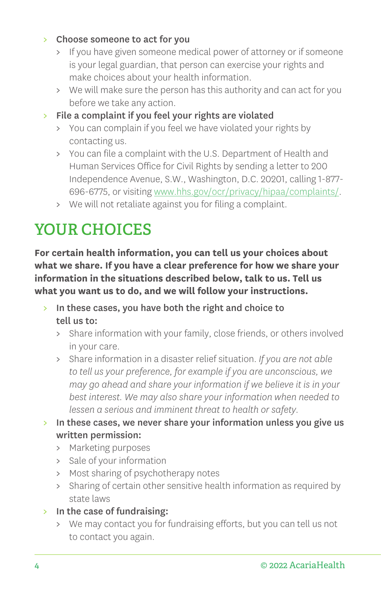#### > Choose someone to act for you

- > If you have given someone medical power of attorney or if someone is your legal guardian, that person can exercise your rights and make choices about your health information.
- > We will make sure the person has this authority and can act for you before we take any action.
- $>$  File a complaint if you feel your rights are violated
	- > You can complain if you feel we have violated your rights by contacting us.
	- > You can file a complaint with the U.S. Department of Health and Human Services Office for Civil Rights by sending a letter to 200 Independence Avenue, S.W., Washington, D.C. 20201, calling 1-877- 696-6775, or visiting<www.hhs.gov/ocr/privacy/hipaa/complaints>/.
	- > We will not retaliate against you for filing a complaint.

# YOUR CHOICES

**For certain health information, you can tell us your choices about what we share. If you have a clear preference for how we share your information in the situations described below, talk to us. Tell us what you want us to do, and we will follow your instructions.** 

- $>$  In these cases, you have both the right and choice to tell us to:
	- > Share information with your family, close friends, or others involved in your care.
	- > Share information in a disaster relief situation. *If you are not able to tell us your preference, for example if you are unconscious, we may go ahead and share your information if we believe it is in your best interest. We may also share your information when needed to lessen a serious and imminent threat to health or safety.*
- $\rightarrow$  In these cases, we never share your information unless you give us written permission:
	- > Marketing purposes
	- > Sale of your information
	- > Most sharing of psychotherapy notes
	- > Sharing of certain other sensitive health information as required by state laws
- $>$  In the case of fundraising:
	- > We may contact you for fundraising efforts, but you can tell us not to contact you again.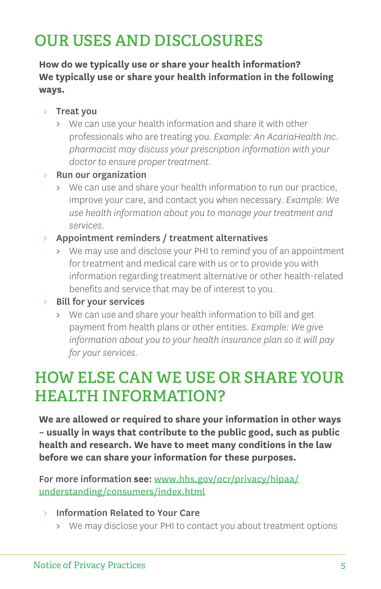### OUR USES AND DISCLOSURES

**How do we typically use or share your health information? We typically use or share your health information in the following ways.** 

#### > Treat you

> We can use your health information and share it with other professionals who are treating you. *Example: An AcariaHealth Inc. pharmacist may discuss your prescription information with your doctor to ensure proper treatment.* 

#### > Run our organization

- > We can use and share your health information to run our practice, improve your care, and contact you when necessary. *Example: We use health information about you to manage your treatment and services*.
- > Appointment reminders / treatment alternatives
	- > We may use and disclose your PHI to remind you of an appointment for treatment and medical care with us or to provide you with information regarding treatment alternative or other health-related benefits and service that may be of interest to you.

#### > Bill for your services

> We can use and share your health information to bill and get payment from health plans or other entities. *Example: We give information about you to your health insurance plan so it will pay for your services.* 

### HOW ELSE CAN WE USE OR SHARE YOUR HEALTH INFORMATION?

**We are allowed or required to share your information in other ways – usually in ways that contribute to the public good, such as public health and research. We have to meet many conditions in the law before we can share your information for these purposes.** 

For more information **see**:<www.hhs.gov/ocr/privacy/hipaa>/ understanding/consumers/index.html

- > Information Related to Your Care
	- > We may disclose your PHI to contact you about treatment options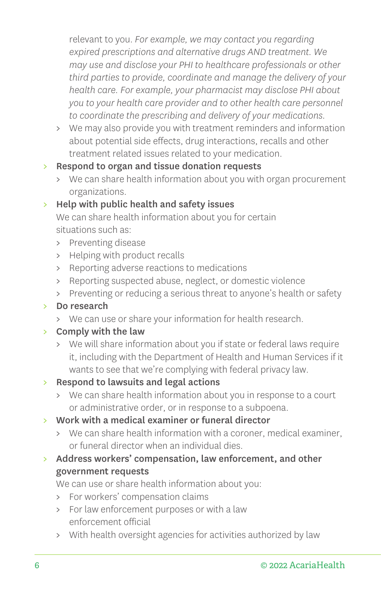relevant to you. *For example, we may contact you regarding expired prescriptions and alternative drugs AND treatment. We may use and disclose your PHI to healthcare professionals or other third parties to provide, coordinate and manage the delivery of your health care. For example, your pharmacist may disclose PHI about you to your health care provider and to other health care personnel to coordinate the prescribing and delivery of your medications.* 

- > We may also provide you with treatment reminders and information about potential side effects, drug interactions, recalls and other treatment related issues related to your medication.
- > Respond to organ and tissue donation requests
	- > We can share health information about you with organ procurement organizations.

#### $\rightarrow$  Help with public health and safety issues

We can share health information about you for certain situations such as:

- > Preventing disease
- > Helping with product recalls
- > Reporting adverse reactions to medications
- > Reporting suspected abuse, neglect, or domestic violence
- > Preventing or reducing a serious threat to anyone's health or safety

#### > Do research

> We can use or share your information for health research.

#### > Comply with the law

> We will share information about you if state or federal laws require it, including with the Department of Health and Human Services if it wants to see that we're complying with federal privacy law.

#### > Respond to lawsuits and legal actions

> We can share health information about you in response to a court or administrative order, or in response to a subpoena.

#### $>$  Work with a medical examiner or funeral director

> We can share health information with a coroner, medical examiner, or funeral director when an individual dies.

#### > Address workers' compensation, law enforcement, and other government requests

We can use or share health information about you:

- > For workers' compensation claims
- > For law enforcement purposes or with a law enforcement official
- > With health oversight agencies for activities authorized by law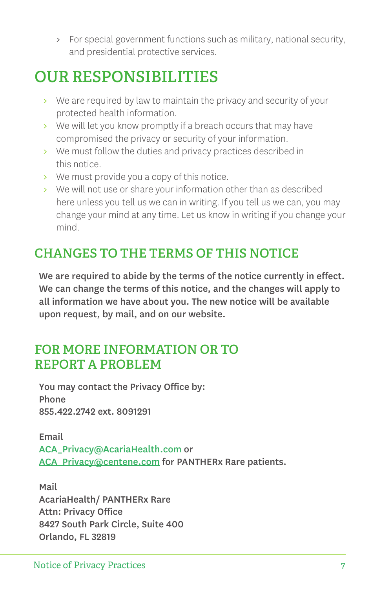> For special government functions such as military, national security, and presidential protective services.

### OUR RESPONSIBILITIES

- $\rightarrow$  We are required by law to maintain the privacy and security of your protected health information.
- > We will let you know promptly if a breach occurs that may have compromised the privacy or security of your information.
- > We must follow the duties and privacy practices described in this notice.
- > We must provide you a copy of this notice.
- > We will not use or share your information other than as described here unless you tell us we can in writing. If you tell us we can, you may change your mind at any time. Let us know in writing if you change your mind.

### CHANGES TO THE TERMS OF THIS NOTICE

We are required to abide by the terms of the notice currently in effect. We can change the terms of this notice, and the changes will apply to all information we have about you. The new notice will be available upon request, by mail, and on our website.

### FOR MORE INFORMATION OR TO REPORT A PROBLEM

You may contact the Privacy Office by: Phone 855.422.2742 ext. 8091291

Email [ACA\\_Privacy@AcariaHealth.com](mailto:ACA_Privacy@AcariaHealth.com) or [ACA\\_Privacy@centene.com](mailto:ACA_Privacy@centene.com) for PANTHERx Rare patients.

Mail AcariaHealth/ PANTHERx Rare Attn: Privacy Office 8427 South Park Circle, Suite 400 Orlando, FL 32819